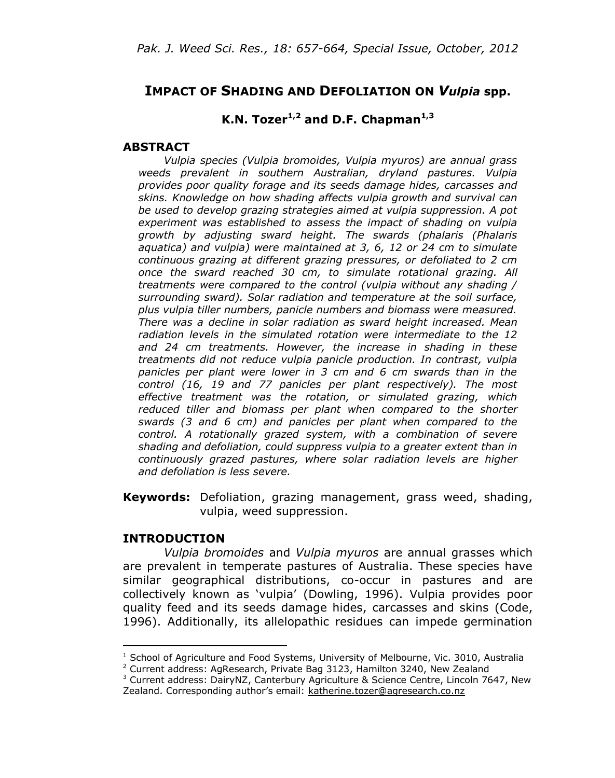## **IMPACT OF SHADING AND DEFOLIATION ON** *Vulpia* **spp.**

# **K.N. Tozer1,2 and D.F. Chapman1,3**

#### **ABSTRACT**

*Vulpia species (Vulpia bromoides, Vulpia myuros) are annual grass weeds prevalent in southern Australian, dryland pastures. Vulpia provides poor quality forage and its seeds damage hides, carcasses and skins. Knowledge on how shading affects vulpia growth and survival can be used to develop grazing strategies aimed at vulpia suppression. A pot experiment was established to assess the impact of shading on vulpia growth by adjusting sward height. The swards (phalaris (Phalaris aquatica) and vulpia) were maintained at 3, 6, 12 or 24 cm to simulate continuous grazing at different grazing pressures, or defoliated to 2 cm once the sward reached 30 cm, to simulate rotational grazing. All treatments were compared to the control (vulpia without any shading / surrounding sward). Solar radiation and temperature at the soil surface, plus vulpia tiller numbers, panicle numbers and biomass were measured. There was a decline in solar radiation as sward height increased. Mean radiation levels in the simulated rotation were intermediate to the 12 and 24 cm treatments. However, the increase in shading in these treatments did not reduce vulpia panicle production. In contrast, vulpia panicles per plant were lower in 3 cm and 6 cm swards than in the control (16, 19 and 77 panicles per plant respectively). The most effective treatment was the rotation, or simulated grazing, which reduced tiller and biomass per plant when compared to the shorter swards (3 and 6 cm) and panicles per plant when compared to the control. A rotationally grazed system, with a combination of severe shading and defoliation, could suppress vulpia to a greater extent than in continuously grazed pastures, where solar radiation levels are higher and defoliation is less severe.*

**Keywords:** Defoliation, grazing management, grass weed, shading, vulpia, weed suppression.

#### **INTRODUCTION**

 $\overline{\phantom{a}}$ 

*Vulpia bromoides* and *Vulpia myuros* are annual grasses which are prevalent in temperate pastures of Australia. These species have similar geographical distributions, co-occur in pastures and are collectively known as 'vulpia' (Dowling, 1996). Vulpia provides poor quality feed and its seeds damage hides, carcasses and skins (Code, 1996). Additionally, its allelopathic residues can impede germination

 $1$  School of Agriculture and Food Systems, University of Melbourne, Vic. 3010, Australia

<sup>&</sup>lt;sup>2</sup> Current address: AgResearch, Private Bag 3123, Hamilton 3240, New Zealand

 $3$  Current address: DairyNZ, Canterbury Agriculture & Science Centre, Lincoln 7647, New Zealand. Corresponding author's email: [katherine.tozer@agresearch.co.nz](mailto:katherine.tozer@agresearch.co.nz)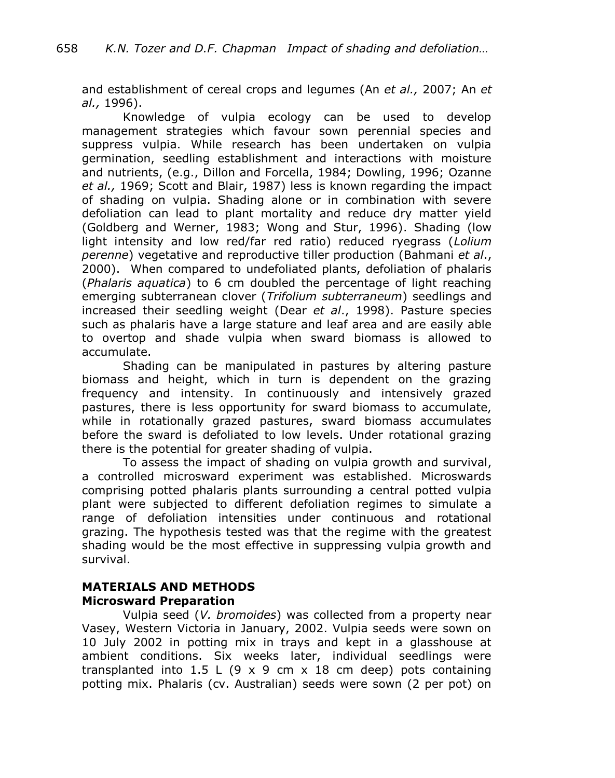and establishment of cereal crops and legumes (An *et al.,* 2007; An *et al.,* 1996).

Knowledge of vulpia ecology can be used to develop management strategies which favour sown perennial species and suppress vulpia. While research has been undertaken on vulpia germination, seedling establishment and interactions with moisture and nutrients, (e.g., Dillon and Forcella, 1984; Dowling, 1996; Ozanne *et al.,* 1969; Scott and Blair, 1987) less is known regarding the impact of shading on vulpia. Shading alone or in combination with severe defoliation can lead to plant mortality and reduce dry matter yield (Goldberg and Werner, 1983; Wong and Stur, 1996). Shading (low light intensity and low red/far red ratio) reduced ryegrass (*Lolium perenne*) vegetative and reproductive tiller production (Bahmani *et al*., 2000). When compared to undefoliated plants, defoliation of phalaris (*Phalaris aquatica*) to 6 cm doubled the percentage of light reaching emerging subterranean clover (*Trifolium subterraneum*) seedlings and increased their seedling weight (Dear *et al*., 1998). Pasture species such as phalaris have a large stature and leaf area and are easily able to overtop and shade vulpia when sward biomass is allowed to accumulate.

Shading can be manipulated in pastures by altering pasture biomass and height, which in turn is dependent on the grazing frequency and intensity. In continuously and intensively grazed pastures, there is less opportunity for sward biomass to accumulate, while in rotationally grazed pastures, sward biomass accumulates before the sward is defoliated to low levels. Under rotational grazing there is the potential for greater shading of vulpia.

To assess the impact of shading on vulpia growth and survival, a controlled microsward experiment was established. Microswards comprising potted phalaris plants surrounding a central potted vulpia plant were subjected to different defoliation regimes to simulate a range of defoliation intensities under continuous and rotational grazing. The hypothesis tested was that the regime with the greatest shading would be the most effective in suppressing vulpia growth and survival.

## **MATERIALS AND METHODS Microsward Preparation**

Vulpia seed (*V. bromoides*) was collected from a property near Vasey, Western Victoria in January, 2002. Vulpia seeds were sown on 10 July 2002 in potting mix in trays and kept in a glasshouse at ambient conditions. Six weeks later, individual seedlings were transplanted into 1.5 L (9 x 9 cm x 18 cm deep) pots containing potting mix. Phalaris (cv. Australian) seeds were sown (2 per pot) on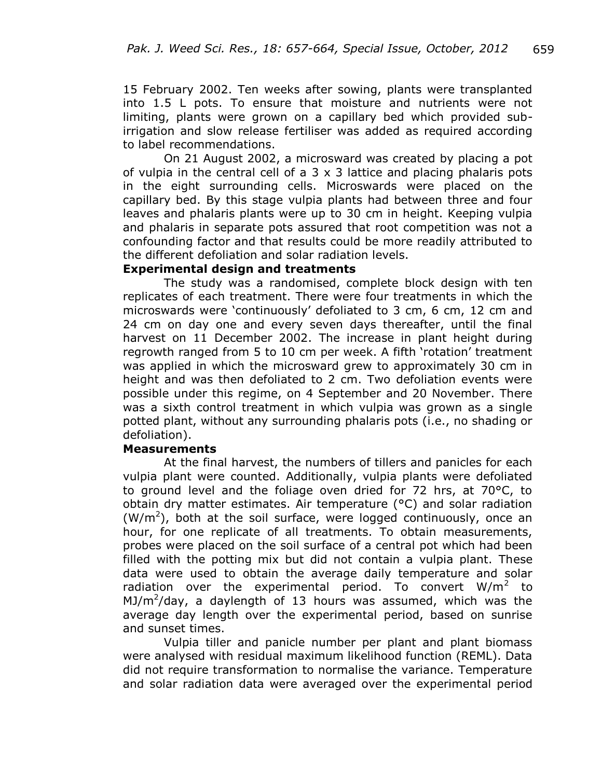15 February 2002. Ten weeks after sowing, plants were transplanted into 1.5 L pots. To ensure that moisture and nutrients were not limiting, plants were grown on a capillary bed which provided subirrigation and slow release fertiliser was added as required according to label recommendations.

On 21 August 2002, a microsward was created by placing a pot of vulpia in the central cell of a  $3 \times 3$  lattice and placing phalaris pots in the eight surrounding cells. Microswards were placed on the capillary bed. By this stage vulpia plants had between three and four leaves and phalaris plants were up to 30 cm in height. Keeping vulpia and phalaris in separate pots assured that root competition was not a confounding factor and that results could be more readily attributed to the different defoliation and solar radiation levels.

#### **Experimental design and treatments**

The study was a randomised, complete block design with ten replicates of each treatment. There were four treatments in which the microswards were 'continuously' defoliated to 3 cm, 6 cm, 12 cm and 24 cm on day one and every seven days thereafter, until the final harvest on 11 December 2002. The increase in plant height during regrowth ranged from 5 to 10 cm per week. A fifth 'rotation' treatment was applied in which the microsward grew to approximately 30 cm in height and was then defoliated to 2 cm. Two defoliation events were possible under this regime, on 4 September and 20 November. There was a sixth control treatment in which vulpia was grown as a single potted plant, without any surrounding phalaris pots (i.e., no shading or defoliation).

#### **Measurements**

At the final harvest, the numbers of tillers and panicles for each vulpia plant were counted. Additionally, vulpia plants were defoliated to ground level and the foliage oven dried for 72 hrs, at 70°C, to obtain dry matter estimates. Air temperature (°C) and solar radiation  $(W/m<sup>2</sup>)$ , both at the soil surface, were logged continuously, once an hour, for one replicate of all treatments. To obtain measurements, probes were placed on the soil surface of a central pot which had been filled with the potting mix but did not contain a vulpia plant. These data were used to obtain the average daily temperature and solar radiation over the experimental period. To convert  $W/m^2$  to MJ/ $m^2$ /day, a daylength of 13 hours was assumed, which was the average day length over the experimental period, based on sunrise and sunset times.

Vulpia tiller and panicle number per plant and plant biomass were analysed with residual maximum likelihood function (REML). Data did not require transformation to normalise the variance. Temperature and solar radiation data were averaged over the experimental period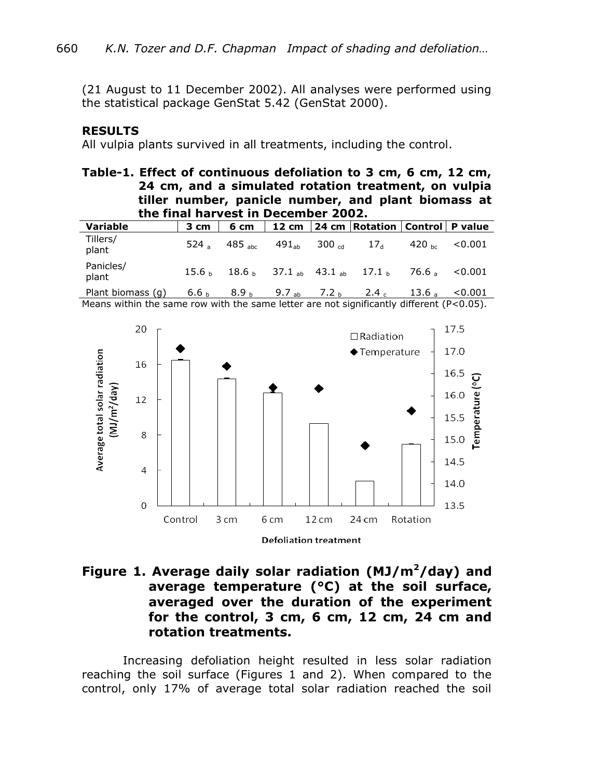(21 August to 11 December 2002). All analyses were performed using the statistical package GenStat 5.42 (GenStat 2000).

#### **RESULTS**

All vulpia plants survived in all treatments, including the control.

## **Table-1. Effect of continuous defoliation to 3 cm, 6 cm, 12 cm, 24 cm, and a simulated rotation treatment, on vulpia tiller number, panicle number, and plant biomass at the final harvest in December 2002.**

| Variable           | 3 cm              | 6 cm                 |            |                         | 12 cm   24 cm   Rotation   Control   P value |                   |         |
|--------------------|-------------------|----------------------|------------|-------------------------|----------------------------------------------|-------------------|---------|
| Tillers/<br>plant  | 524 $\alpha$      | $485$ <sub>ahc</sub> | $491_{ab}$ | 300 $_{\mathsf{cd}}$    | 17 <sub>d</sub>                              | 420 <sub>bc</sub> | < 0.001 |
| Panicles/<br>plant | 15.6 <sub>b</sub> |                      |            |                         | $18.6_{h}$ 37.1 ab 43.1 ab 17.1 b            | 76.6 a            | < 0.001 |
| Plant biomass (g)  | 6.6 <sub>b</sub>  | 8.9 <sub>b</sub>     |            | 9.7 <sub>ab</sub> 7.2 b | 2.4c                                         | 13.6a             | < 0.001 |

Means within the same row with the same letter are not significantly different (P<0.05).



# **Figure 1. Average daily solar radiation (MJ/m<sup>2</sup>/day) and average temperature (°C) at the soil surface, averaged over the duration of the experiment for the control, 3 cm, 6 cm, 12 cm, 24 cm and rotation treatments.**

Increasing defoliation height resulted in less solar radiation reaching the soil surface (Figures 1 and 2). When compared to the control, only 17% of average total solar radiation reached the soil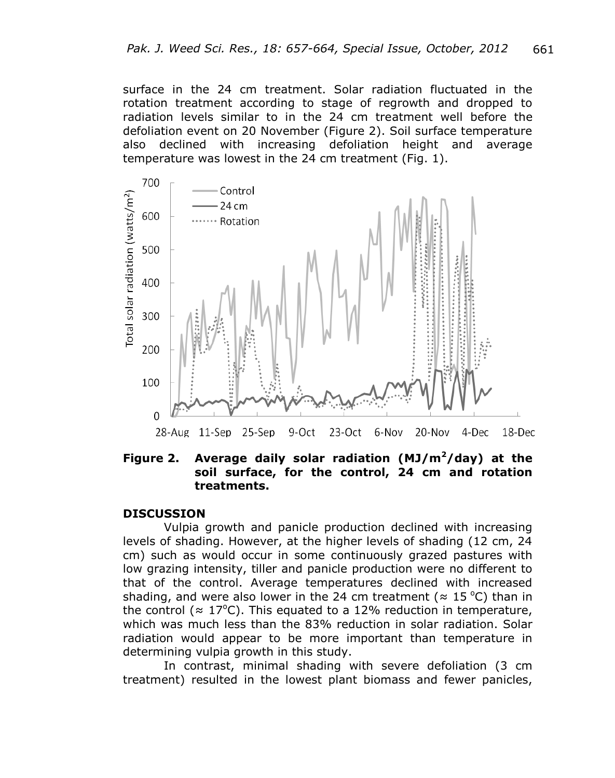surface in the 24 cm treatment. Solar radiation fluctuated in the rotation treatment according to stage of regrowth and dropped to radiation levels similar to in the 24 cm treatment well before the defoliation event on 20 November (Figure 2). Soil surface temperature also declined with increasing defoliation height and average temperature was lowest in the 24 cm treatment (Fig. 1).



**Figure 2. Average daily solar radiation (MJ/m<sup>2</sup>/day) at the soil surface, for the control, 24 cm and rotation treatments.** 

#### **DISCUSSION**

Vulpia growth and panicle production declined with increasing levels of shading. However, at the higher levels of shading (12 cm, 24 cm) such as would occur in some continuously grazed pastures with low grazing intensity, tiller and panicle production were no different to that of the control. Average temperatures declined with increased shading, and were also lower in the 24 cm treatment ( $\approx$  15 °C) than in the control ( $\approx 17^{\circ}$ C). This equated to a 12% reduction in temperature, which was much less than the 83% reduction in solar radiation. Solar radiation would appear to be more important than temperature in determining vulpia growth in this study.

In contrast, minimal shading with severe defoliation (3 cm treatment) resulted in the lowest plant biomass and fewer panicles,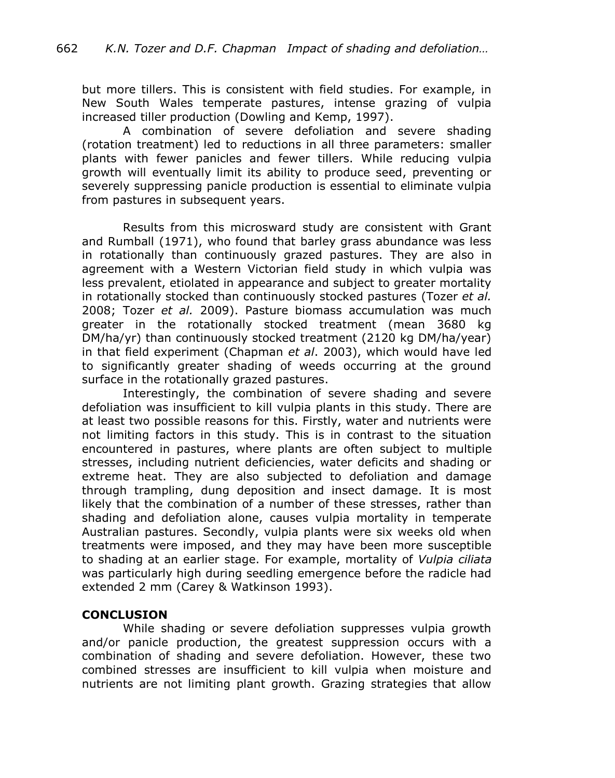but more tillers. This is consistent with field studies. For example, in New South Wales temperate pastures, intense grazing of vulpia increased tiller production (Dowling and Kemp, 1997).

A combination of severe defoliation and severe shading (rotation treatment) led to reductions in all three parameters: smaller plants with fewer panicles and fewer tillers. While reducing vulpia growth will eventually limit its ability to produce seed, preventing or severely suppressing panicle production is essential to eliminate vulpia from pastures in subsequent years.

Results from this microsward study are consistent with Grant and Rumball (1971), who found that barley grass abundance was less in rotationally than continuously grazed pastures. They are also in agreement with a Western Victorian field study in which vulpia was less prevalent, etiolated in appearance and subject to greater mortality in rotationally stocked than continuously stocked pastures (Tozer *et al.* 2008; Tozer *et al.* 2009). Pasture biomass accumulation was much greater in the rotationally stocked treatment (mean 3680 kg DM/ha/yr) than continuously stocked treatment (2120 kg DM/ha/year) in that field experiment (Chapman *et al*. 2003), which would have led to significantly greater shading of weeds occurring at the ground surface in the rotationally grazed pastures.

Interestingly, the combination of severe shading and severe defoliation was insufficient to kill vulpia plants in this study. There are at least two possible reasons for this. Firstly, water and nutrients were not limiting factors in this study. This is in contrast to the situation encountered in pastures, where plants are often subject to multiple stresses, including nutrient deficiencies, water deficits and shading or extreme heat. They are also subjected to defoliation and damage through trampling, dung deposition and insect damage. It is most likely that the combination of a number of these stresses, rather than shading and defoliation alone, causes vulpia mortality in temperate Australian pastures. Secondly, vulpia plants were six weeks old when treatments were imposed, and they may have been more susceptible to shading at an earlier stage. For example, mortality of *Vulpia ciliata* was particularly high during seedling emergence before the radicle had extended 2 mm (Carey & Watkinson 1993).

## **CONCLUSION**

While shading or severe defoliation suppresses vulpia growth and/or panicle production, the greatest suppression occurs with a combination of shading and severe defoliation. However, these two combined stresses are insufficient to kill vulpia when moisture and nutrients are not limiting plant growth. Grazing strategies that allow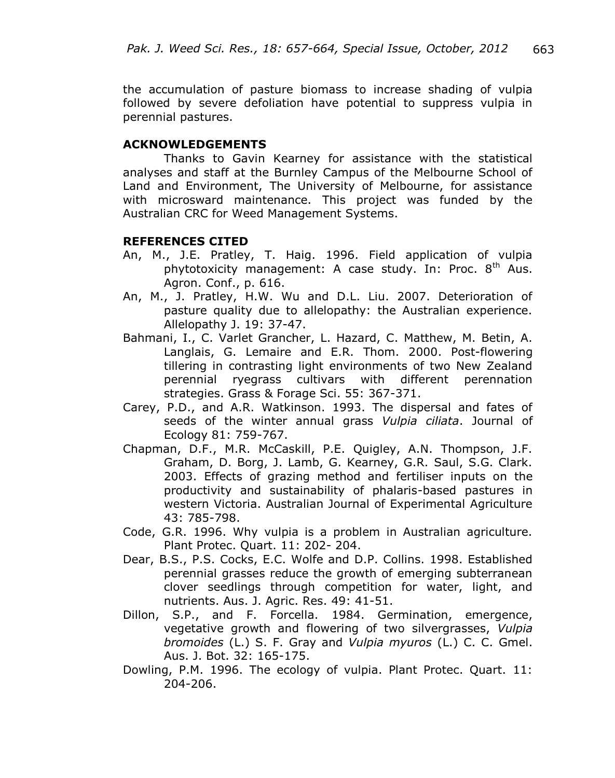the accumulation of pasture biomass to increase shading of vulpia followed by severe defoliation have potential to suppress vulpia in perennial pastures.

## **ACKNOWLEDGEMENTS**

Thanks to Gavin Kearney for assistance with the statistical analyses and staff at the Burnley Campus of the Melbourne School of Land and Environment, The University of Melbourne, for assistance with microsward maintenance. This project was funded by the Australian CRC for Weed Management Systems.

### **REFERENCES CITED**

- An, M., J.E. Pratley, T. Haig. 1996. Field application of vulpia phytotoxicity management: A case study. In: Proc.  $8<sup>th</sup>$  Aus. Agron. Conf., p. 616.
- An, M., J. Pratley, H.W. Wu and D.L. Liu. 2007. Deterioration of pasture quality due to allelopathy: the Australian experience. Allelopathy J. 19: 37-47.
- Bahmani, I., C. Varlet Grancher, L. Hazard, C. Matthew, M. Betin, A. Langlais, G. Lemaire and E.R. Thom. 2000. Post-flowering tillering in contrasting light environments of two New Zealand perennial ryegrass cultivars with different perennation strategies. Grass & Forage Sci. 55: 367-371.
- Carey, P.D., and A.R. Watkinson. 1993. The dispersal and fates of seeds of the winter annual grass *Vulpia ciliata*. Journal of Ecology 81: 759-767.
- Chapman, D.F., M.R. McCaskill, P.E. Quigley, A.N. Thompson, J.F. Graham, D. Borg, J. Lamb, G. Kearney, G.R. Saul, S.G. Clark. 2003. Effects of grazing method and fertiliser inputs on the productivity and sustainability of phalaris-based pastures in western Victoria. Australian Journal of Experimental Agriculture 43: 785-798.
- Code, G.R. 1996. Why vulpia is a problem in Australian agriculture. Plant Protec. Quart. 11: 202- 204.
- Dear, B.S., P.S. Cocks, E.C. Wolfe and D.P. Collins. 1998. Established perennial grasses reduce the growth of emerging subterranean clover seedlings through competition for water, light, and nutrients. Aus. J. Agric. Res. 49: 41-51.
- Dillon, S.P., and F. Forcella. 1984. Germination, emergence, vegetative growth and flowering of two silvergrasses, *Vulpia bromoides* (L.) S. F. Gray and *Vulpia myuros* (L.) C. C. Gmel. Aus. J. Bot. 32: 165-175.
- Dowling, P.M. 1996. The ecology of vulpia. Plant Protec. Quart. 11: 204-206.